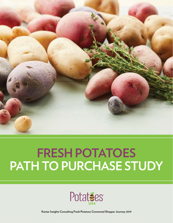

# **FRESH POTATOES PATH TO PURCHASE STUDY**



**Kantar Insights Consulting Fresh Potatoes Connected Shopper Journey 2019**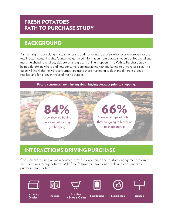### FRESH POTATOES PATH TO PURCHASE STUDY

### BACKGROUND

Kantar Insights Consulting is a team of brand and marketing specialists who focus on growth for the retail sector. Kantar Insights Consulting gathered information from potato shoppers at food retailers, mass merchandise retailers, club stores and grocery online shoppers. The Path to Purchase study helped determine where and how consumers are interacting with marketing to drive retail sales. This guide will highlight the ways consumers are using these marketing tools at the different types of retailers and for all seven types of fresh potatoes.





### INTERACTIONS DRIVING PURCHASE

Consumers are using online resources, previous experience and in-store engagement to drive their decisions to buy potatoes. All of the following interactions are driving consumers to purchase more potatoes.

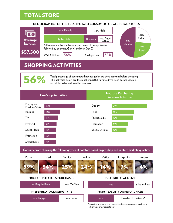### TOTAL STORE

56%

#### **DEMOGRAPHICS OF THE FRESH POTATO CONSUMER FOR ALL RETAIL STORES**



### SHOPPING ACTIVITIES

Total percentage of consumers that engaged in pre-shop activities before shopping. The activities below are the most impactful ways to drive fresh potato volume and dollar sales with retail consumers.

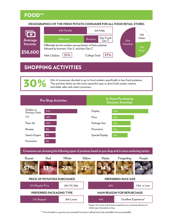### FOOD\*\*

#### **DEMOGRAPHICS OF THE FRESH POTATO CONSUMER FOR ALL FOOD RETAIL STORES**



### SHOPPING ACTIVITIES

30% of consumers decided to go to food retailers specifically to buy fresh potatoes. The activities below are the most impactful ways to drive fresh potato volume and dollar sales with retail consumers.

**Pre-Shop Activities In-Store Purchasing Decision Activities** 27% 30% Display 18% Recipes Price Package Size Promotion Search Engine 8% Promotion 15% 15%  $S$  pecial Display  $\frac{13\%}{13\%}$ 8% 8% TV Flyer Ad 10% 10% Display on Previous Visits

72% Regular Price 28% On Sale 83% 5 lbs. or Less **Consumers are choosing the following types of potatoes based on pre-shop and in-store marketing tactics. White** 22% 22% Yellow 57% Russet 2% Purple 33% Red 5% Fingerling 14% Petite **PRICE OF POTATOES PURCHASED PREFERRED PACKAGING TYPE PREFERRED PACK SIZE MAIN REASON FOR REPURCHASE**

| 770/ | 36% Loose | 77 C | Excellent Experience* |
|------|-----------|------|-----------------------|
|      |           |      |                       |

\*Impact of in-store and at-home experience on consumer decision of which type of potatoes to buy.

\*\*A food retailer is a grocery store primarily focused on selling food, both perishable and non-perishable.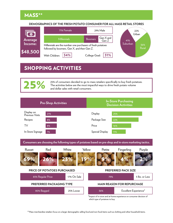

#### **DEMOGRAPHICS OF THE FRESH POTATO CONSUMER FOR ALL MASS RETAIL STORES**



### SHOPPING ACTIVITIES

25% of consumers decided to go to mass retailers specifically to buy fresh potatoes.<br>The activities below are the most impactful ways to drive fresh potato volume and dollar sales with retail consumers.

| <b>Pre-Shop Activities</b>    |     | <b>In-Store Purchasing</b><br><b>Decision Activities</b> |     |  |  |
|-------------------------------|-----|----------------------------------------------------------|-----|--|--|
| Display on<br>Previous Visits | 21% | Display                                                  | 25% |  |  |
| Recipes                       | 8%  | Package Size                                             | 22% |  |  |
| TV                            | 8%  | Price                                                    | 16% |  |  |
| In-Store Signage              | 7%  | Special Display                                          | 11% |  |  |

**Consumers are choosing the following types of potatoes based on pre-shop and in-store marketing tactics.**

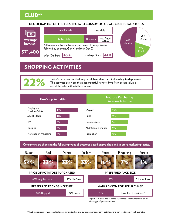

#### **DEMOGRAPHICS OF THE FRESH POTATO CONSUMER FOR ALL CLUB RETAIL STORES**



### SHOPPING ACTIVITIES

22% of consumers decided to go to club retailers specifically to buy fresh potatoes. The activities below are the most impactful ways to drive fresh potato volume and dollar sales with retail consumers.

**Pre-Shop Activities In-Store Purchasing Decision Activities** 18% 35% Display 15% Recipes Price TV Rockage Size Newspaper/Magazine Nutritional Benefits 8% 13% 9% 8% 14% Social Media 11% Promotion 12% Display on Previous Visits

**Consumers are choosing the following types of potatoes based on pre-shop and in-store marketing tactics.**

| Red<br>Russet               | White       | Yellow | Petite                     | Fingerling                        | Purple         |  |  |
|-----------------------------|-------------|--------|----------------------------|-----------------------------------|----------------|--|--|
| 33%<br>4%                   | 33%         | 33%    |                            |                                   |                |  |  |
| PRICE OF POTATOES PURCHASED |             |        | <b>PREFERRED PACK SIZE</b> |                                   |                |  |  |
| 85% Regular Price           | 15% On Sale |        | 65%                        |                                   | 5 lbs. or Less |  |  |
| PREFERRED PACKAGING TYPE    |             |        |                            | <b>MAIN REASON FOR REPURCHASE</b> |                |  |  |
| 88% Bagged                  | 22% Loose   |        | 54%                        | Excellent Experience*             |                |  |  |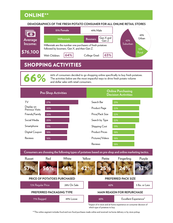### ONLINE\*\*

#### **DEMOGRAPHICS OF THE FRESH POTATO CONSUMER FOR ALL ONLINE RETAIL STORES**



### SHOPPING ACTIVITIES

66% of consumers decided to go shopping online specifically to buy fresh potatoes. The activities below are the most impactful ways to drive fresh potato volume and dollar sales with retail consumers.

|                               | <b>Pre-Shop Activities</b> |                       | <b>Online Purchasing</b><br><b>Decision Activities</b> |
|-------------------------------|----------------------------|-----------------------|--------------------------------------------------------|
| TV                            | 27%                        | Search Bar            | 23%                                                    |
| Display on<br>Previous Visits | 20%                        | Product Page          | 22%                                                    |
| Friends/Family                | 20%                        | Price/Pack Size       | 22%                                                    |
| Social Media                  | 20%                        | Search by Type        | 22%                                                    |
| Smartphone                    | 19%                        | Shipping Cost         | 19%                                                    |
| Digital Coupon                | 18%                        | <b>Product Prices</b> | 18%                                                    |
| Reviews                       | 18%                        | Pictures/Videos       | 18%                                                    |
|                               |                            | Reviews               | 18%                                                    |

**White** 44% 42% Yellow 57% Russet 17% Purple 56% Red 24% Fingerling 25% Petite 72% Regular Price 28% On Sale **62%** 5 lbs. or Less 71% Bagged 49% Loose **63%** Excellent Experience\* **Consumers are choosing the following types of potatoes based on pre-shop and online marketing tactics. PRICE OF POTATOES PURCHASED PREFERRED PACKAGING TYPE PREFERRED PACK SIZE MAIN REASON FOR REPURCHASE**

> \*Impact of in-store and at-home experience on consumer decision of which type of potatoes to buy.

\*\*The online segment includes food and non-food purchases made online and received via home delivery or by store pickup.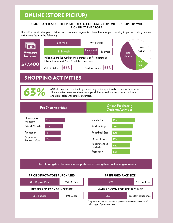### ONLINE (STORE PICKUP)

#### **DEMOGRAPHICS OF THE FRESH POTATO CONSUMER FOR ONLINE SHOPPERS WHO PICK UP AT THE STORE**

The online potato shopper is divided into two major segments. The online shopper choosing to pick up their groceries at the store fits into the following.



### SHOPPING ACTIVITIES

63% of consumers decide to go shopping online specifically to buy fresh potatoes.<br>The activities below are the most impactful ways to drive fresh potato volume and dollar sales with retail consumers.



**The following describes consumers' preferences during their final buying moments**

#### **PRICE OF POTATOES PURCHASED**

### 78% Regular Price 22% On Sale 65% 5 lbs. or Less 76% Bagged **44% Loose 61% Excellent Experience**\* **PREFERRED PACKAGING TYPE MAIN REASON FOR REPURCHASE**

\*Impact of in-store and at-home experience on consumer decision of which type of potatoes to buy.

**PREFERRED PACK SIZE**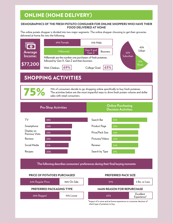#### **DEMOGRAPHICS OF THE FRESH POTATO CONSUMER FOR ONLINE SHOPPERS WHO HAVE THEIR FOOD DELIVERED AT HOME**

The online potato shopper is divided into two major segments. The online shopper choosing to get their groceries delivered at home fits into the following.



### SHOPPING ACTIVITIES

75% of consumers decide to go shopping online specifically to buy fresh potatoes. The activities below are the most impactful ways to drive fresh potato volume and dollar<br>sales with retail consumers.

#### **Pre-Shop Activities Online Purchasing Decision Activities**



**The following describes consumers' preferences during their final buying moments**

#### **PRICE OF POTATOES PURCHASED**

#### 64% Regular Price 36% On Sale 57% 57% 5 lbs. or Less 68% Bagged 51% Loose **PREFERRED PACKAGING TYPE MAIN REASON FOR REPURCHASE** 65% Excellent Experience\*

\*Impact of in-store and at-home experience on consumer decision of which type of potatoes to buy.

**PREFERRED PACK SIZE**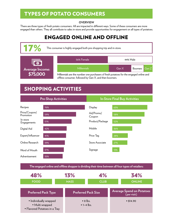### TYPES OF POTATO CONSUMERS

#### **OVERVIEW**

There are three types of fresh potato consumers. All are impacted in different ways. Some of these consumers are more engaged than others. They all contribute to sales in-store and provide opportunities for engagement on all types of potatoes.

### ENGAGED ONLINE AND OFFLINE



### SHOPPING ACTIVITIES



**The engaged online and offline shopper is dividing their time between all four types of retailers:**

| 48%                                                                        | 13%<br>4%                          |  | 34%                                             |
|----------------------------------------------------------------------------|------------------------------------|--|-------------------------------------------------|
| <b>FOOD</b>                                                                | <b>CLUB</b><br><b>MASS</b>         |  | <b>ONLINE</b>                                   |
| <b>Preferred Pack Type</b>                                                 | <b>Preferred Pack Size</b>         |  | <b>Average Spend on Potatoes</b><br>(per visit) |
| · Individually wrapped<br>· Multi wrapped<br>• Flavored Potatoes in a Tray | $\cdot$ 8 lbs.<br>$\cdot$ 1-4 lbs. |  | • 14.90                                         |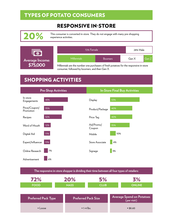### TYPES OF POTATO CONSUMERS

### RESPONSIVE IN-STORE

This consumer is converted in-store. They do not engage with many pre-shopping experience activities.





Millennials are the number one purchasers of fresh potatoes for the responsive in-store consumer, followed by boomers, and then Gen X.

### SHOPPING ACTIVITIES



• Loose • 1-4 lbs. • 1-4 lbs. • \$8.60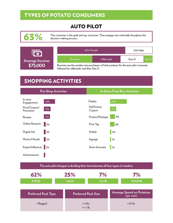### TYPES OF POTATO CONSUMERS

### AUTO PILOT



This consumer is the grab-and-go consumer. They engage very minimally thoughout the decision-making process.



| 69% Female                                                                                            | 31% Male           |  |       |       |  |  |
|-------------------------------------------------------------------------------------------------------|--------------------|--|-------|-------|--|--|
| <b>Boomers</b>                                                                                        | <b>Millennials</b> |  | Gen X | Gen Z |  |  |
| De carrege car the accuration care accurate come of facets a stotic or fourther critical at community |                    |  |       |       |  |  |

Boomers are the number one purchasers of fresh potatoes for the auto pilot consumer, followed by millennials, and then Gen X.

## SHOPPING ACTIVITIES



62% 25% 7% 7% **FOOD MASS CLUB ONLINE** • Bagged • 5 lbs.  $\cdot$  < 1 lb. • \$7.50 **Preferred Pack Type Preferred Pack Size Average Spend on Potatoes (per visit) The auto pilot shopper is dividing their time between all four types of retailers:**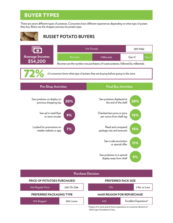There are seven different types of potatoes. Consumers have different experiences depending on what type of potato they buy. Below are the shopper journeys by potato type.



### **RUSSET POTATO BUYERS**



76% Bagged 24% Loose

\*Impact of in-store and at-home experience on consumer decision of which type of potatoes to buy.

41% Excellent Experience\*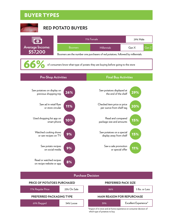



Read or watched recipes on recipe website or app





8%

#### **MAIN REASON FOR REPURCHASE**

69% Bagged 34% Loose

39% Excellent Experience\*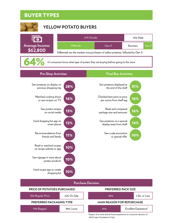

### **YELLOW POTATO BUYERS**



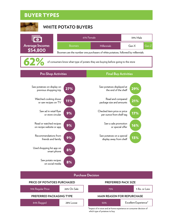



| <b>Purchase Decision</b>    |             |  |                                   |  |                       |  |
|-----------------------------|-------------|--|-----------------------------------|--|-----------------------|--|
| PRICE OF POTATOES PURCHASED |             |  | <b>PREFERRED PACK SIZE</b>        |  |                       |  |
| 74% Regular Price           | 26% On Sale |  | 75%                               |  | 5 lbs. or Less        |  |
| PREFERRED PACKAGING TYPE    |             |  | <b>MAIN REASON FOR REPURCHASE</b> |  |                       |  |
| 84% Bagged                  | 28% Loose   |  | 50%                               |  | Excellent Experience* |  |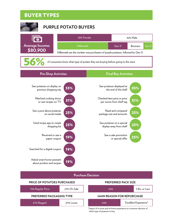

Asked smart home assistant about product and recipes

19%

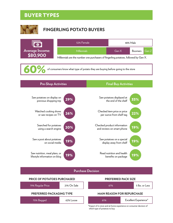

|                 | 52% Female                                                                           |       | 48% Male |       |  |  |  |
|-----------------|--------------------------------------------------------------------------------------|-------|----------|-------|--|--|--|
| Average Income: | <b>Millennials</b>                                                                   | Gen X | Boomers  | Gen Z |  |  |  |
| \$80.900        | Millennials are the number one purchasers of fingerling potatoes, followed by Gen X. |       |          |       |  |  |  |
| 60%             | of consumers know what type of potato they are buying before going to the store      |       |          |       |  |  |  |



**Purchase Decision**

| <b>PRICE OF POTATOES PURCHASED</b> |             | <b>PREFERRED PACK SIZE</b> |                                   |  |                |
|------------------------------------|-------------|----------------------------|-----------------------------------|--|----------------|
| 79% Regular Price                  | 21% On Sale |                            | 67%                               |  | 5 lbs. or Less |
| PREFERRED PACKAGING TYPE           |             |                            | <b>MAIN REASON FOR REPURCHASE</b> |  |                |
| 70% Bagged                         | 62% Loose   |                            | Excellent Experience*<br>61%      |  |                |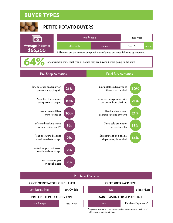

| <b>Purchase Decision</b> |                                    |  |                                   |  |                       |  |
|--------------------------|------------------------------------|--|-----------------------------------|--|-----------------------|--|
|                          | <b>PRICE OF POTATOES PURCHASED</b> |  | <b>PREFERRED PACK SIZE</b>        |  |                       |  |
| 79% Regular Price        | 21% On Sale                        |  | 82%                               |  | 5 lbs. or Less        |  |
|                          | PREFERRED PACKAGING TYPE           |  | <b>MAIN REASON FOR REPURCHASE</b> |  |                       |  |
| 73% Bagged               | 36%   nose                         |  | 46%                               |  | Excellent Experience* |  |

9%

on social media